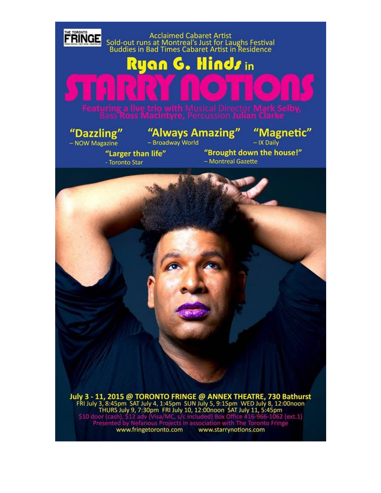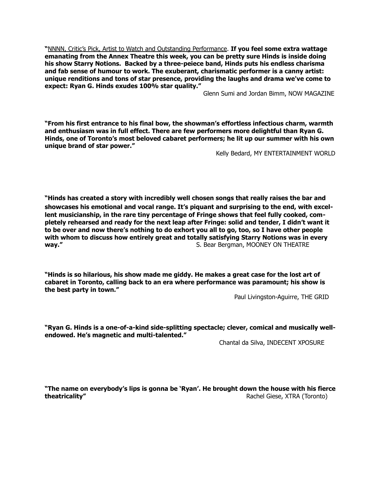**"**NNNN, Critic's Pick, Artist to Watch and Outstanding Performance. **If you feel some extra wattage emanating from the Annex Theatre this week, you can be pretty sure Hinds is inside doing his show Starry Notions. Backed by a three-peiece band, Hinds puts his endless charisma and fab sense of humour to work. The exuberant, charismatic performer is a canny artist: unique renditions and tons of star presence, providing the laughs and drama we've come to expect: Ryan G. Hinds exudes 100% star quality."** 

Glenn Sumi and Jordan Bimm, NOW MAGAZINE

**"From his first entrance to his final bow, the showman's effortless infectious charm, warmth and enthusiasm was in full effect. There are few performers more delightful than Ryan G. Hinds, one of Toronto's most beloved cabaret performers; he lit up our summer with his own unique brand of star power."**

Kelly Bedard, MY ENTERTAINMENT WORLD

**"Hinds has created a story with incredibly well chosen songs that really raises the bar and showcases his emotional and vocal range. It's piquant and surprising to the end, with excellent musicianship, in the rare tiny percentage of Fringe shows that feel fully cooked, completely rehearsed and ready for the next leap after Fringe: solid and tender, I didn't want it to be over and now there's nothing to do exhort you all to go, too, so I have other people with whom to discuss how entirely great and totally satisfying Starry Notions was in every way."** S. Bear Bergman, MOONEY ON THEATRE

**"Hinds is so hilarious, his show made me giddy. He makes a great case for the lost art of cabaret in Toronto, calling back to an era where performance was paramount; his show is the best party in town."**

Paul Livingston-Aguirre, THE GRID

**"Ryan G. Hinds is a one-of-a-kind side-splitting spectacle; clever, comical and musically wellendowed. He's magnetic and multi-talented."**

Chantal da Silva, INDECENT XPOSURE

**"The name on everybody's lips is gonna be 'Ryan'. He brought down the house with his fierce theatricality" Constitution in the constitution of the constitution in the constitution of the constitution of the constitution of the constitution of the constitution of the constitution of the constitution of the cons**